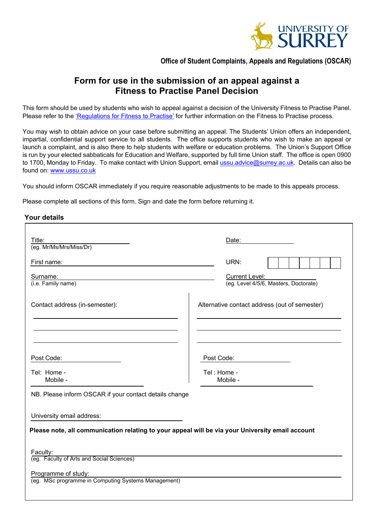

## **Office of Student Complaints, Appeals and Regulations (OSCAR)**

# **Form for use in the submission of an appeal against a Fitness to Practise Panel Decision**

This form should be used by students who wish to appeal against a decision of the University Fitness to Practise Panel. Please refer to the 'Regulations for [Fitness to Practise'](http://www.surrey.ac.uk/oscar) for further information on the Fitness to Practise process.

You may wish to obtain advice on your case before submitting an appeal. The Students' Union offers an independent, impartial, confidential support service to all students. The office supports students who wish to make an appeal or launch a complaint, and is also there to help students with welfare or education problems. The Union's Support Office is run by your elected sabbaticals for Education and Welfare, supported by full time Union staff. The office is open 0900 to 1700, Monday to Friday. To make contact with Union Support, emai[l ussu.advice@surrey.ac.uk.](mailto:ussu.advice@surrey.ac.uk) Details can also be found on: [www.ussu.co.uk](http://www.ussu.co.uk/)

You should inform OSCAR immediately if you require reasonable adjustments to be made to this appeals process.

Please complete all sections of this form. Sign and date the form before returning it.

#### **Your details**

| Title:<br>(eg. Mr/Ms/Mrs/Miss/Dr)                      | Date:                                                                                            |
|--------------------------------------------------------|--------------------------------------------------------------------------------------------------|
| First name:                                            | URN:                                                                                             |
| Surname:<br>(i.e. Family name)                         | <b>Current Level:</b><br>(eg. Level 4/5/6, Masters, Doctorate)                                   |
| Contact address (in-semester):                         | Alternative contact address (out of semester)                                                    |
|                                                        |                                                                                                  |
| Post Code:                                             | Post Code:                                                                                       |
| Tel: Home -<br>Mobile -                                | Tel: Home -<br>Mobile -                                                                          |
| NB. Please inform OSCAR if your contact details change |                                                                                                  |
| University email address:                              |                                                                                                  |
|                                                        | Please note, all communication relating to your appeal will be via your University email account |
|                                                        |                                                                                                  |
| Faculty:<br>(eg. Faculty of Arts and Social Sciences)  |                                                                                                  |
| Programme of study:                                    |                                                                                                  |
| (eg. MSc programme in Computing Systems Management)    |                                                                                                  |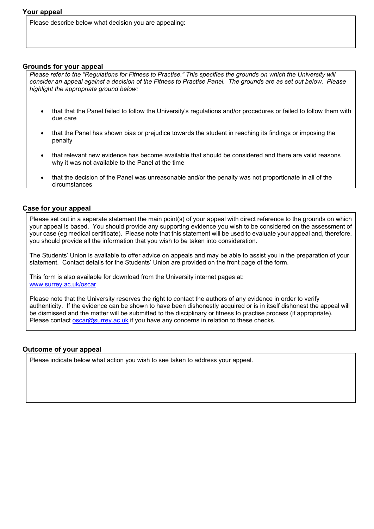Please describe below what decision you are appealing:

#### **Grounds for your appeal**

*Please refer to the "Regulations for Fitness to Practise." This specifies the grounds on which the University will consider an appeal against a decision of the Fitness to Practise Panel. The grounds are as set out below. Please highlight the appropriate ground below:*

- that that the Panel failed to follow the University's regulations and/or procedures or failed to follow them with due care
- that the Panel has shown bias or prejudice towards the student in reaching its findings or imposing the penalty
- that relevant new evidence has become available that should be considered and there are valid reasons why it was not available to the Panel at the time
- that the decision of the Panel was unreasonable and/or the penalty was not proportionate in all of the circumstances

#### **Case for your appeal**

Please set out in a separate statement the main point(s) of your appeal with direct reference to the grounds on which your appeal is based. You should provide any supporting evidence you wish to be considered on the assessment of your case (eg medical certificate). Please note that this statement will be used to evaluate your appeal and, therefore, you should provide all the information that you wish to be taken into consideration.

The Students' Union is available to offer advice on appeals and may be able to assist you in the preparation of your statement. Contact details for the Students' Union are provided on the front page of the form.

This form is also available for download from the University internet pages at: [www.surrey.ac.uk/oscar](http://www.surrey.ac.uk/oscar)

Please note that the University reserves the right to contact the authors of any evidence in order to verify authenticity. If the evidence can be shown to have been dishonestly acquired or is in itself dishonest the appeal will be dismissed and the matter will be submitted to the disciplinary or fitness to practise process (if appropriate). Please contact [oscar@surrey.ac.uk](mailto:oscar@surrey.ac.uk) if you have any concerns in relation to these checks.

### **Outcome of your appeal**

Please indicate below what action you wish to see taken to address your appeal.